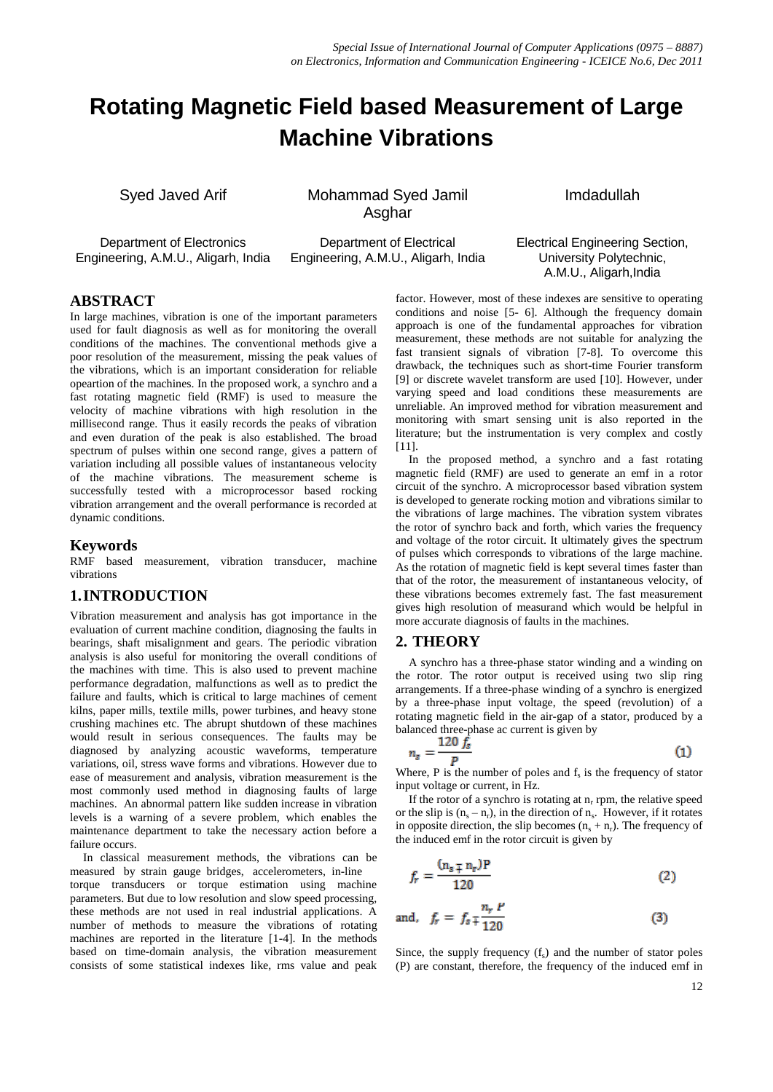# **Rotating Magnetic Field based Measurement of Large Machine Vibrations**

Syed Javed Arif Mohammad Syed Jamil Asghar

Department of Electronics Engineering, A.M.U., Aligarh, India

Department of Electrical Engineering, A.M.U., Aligarh, India Imdadullah

## Electrical Engineering Section, University Polytechnic, A.M.U., Aligarh,India

# **ABSTRACT**

In large machines, vibration is one of the important parameters used for fault diagnosis as well as for monitoring the overall conditions of the machines. The conventional methods give a poor resolution of the measurement, missing the peak values of the vibrations, which is an important consideration for reliable opeartion of the machines. In the proposed work, a synchro and a fast rotating magnetic field (RMF) is used to measure the velocity of machine vibrations with high resolution in the millisecond range. Thus it easily records the peaks of vibration and even duration of the peak is also established. The broad spectrum of pulses within one second range, gives a pattern of variation including all possible values of instantaneous velocity of the machine vibrations. The measurement scheme is successfully tested with a microprocessor based rocking vibration arrangement and the overall performance is recorded at dynamic conditions.

### **Keywords**

RMF based measurement, vibration transducer, machine vibrations

# **1.INTRODUCTION**

Vibration measurement and analysis has got importance in the evaluation of current machine condition, diagnosing the faults in bearings, shaft misalignment and gears. The periodic vibration analysis is also useful for monitoring the overall conditions of the machines with time. This is also used to prevent machine performance degradation, malfunctions as well as to predict the failure and faults, which is critical to large machines of cement kilns, paper mills, textile mills, power turbines, and heavy stone crushing machines etc. The abrupt shutdown of these machines would result in serious consequences. The faults may be diagnosed by analyzing acoustic waveforms, temperature variations, oil, stress wave forms and vibrations. However due to ease of measurement and analysis, vibration measurement is the most commonly used method in diagnosing faults of large machines. An abnormal pattern like sudden increase in vibration levels is a warning of a severe problem, which enables the maintenance department to take the necessary action before a failure occurs.

In classical measurement methods, the vibrations can be measured by strain gauge bridges, accelerometers, in-line torque transducers or torque estimation using machine parameters. But due to low resolution and slow speed processing, these methods are not used in real industrial applications. A number of methods to measure the vibrations of rotating machines are reported in the literature [1-4]. In the methods based on time-domain analysis, the vibration measurement consists of some statistical indexes like, rms value and peak

factor. However, most of these indexes are sensitive to operating conditions and noise [5- 6]. Although the frequency domain approach is one of the fundamental approaches for vibration measurement, these methods are not suitable for analyzing the fast transient signals of vibration [7-8]. To overcome this drawback, the techniques such as short-time Fourier transform [9] or discrete wavelet transform are used [10]. However, under varying speed and load conditions these measurements are unreliable. An improved method for vibration measurement and monitoring with smart sensing unit is also reported in the literature; but the instrumentation is very complex and costly [11].

In the proposed method, a synchro and a fast rotating magnetic field (RMF) are used to generate an emf in a rotor circuit of the synchro. A microprocessor based vibration system is developed to generate rocking motion and vibrations similar to the vibrations of large machines. The vibration system vibrates the rotor of synchro back and forth, which varies the frequency and voltage of the rotor circuit. It ultimately gives the spectrum of pulses which corresponds to vibrations of the large machine. As the rotation of magnetic field is kept several times faster than that of the rotor, the measurement of instantaneous velocity, of these vibrations becomes extremely fast. The fast measurement gives high resolution of measurand which would be helpful in more accurate diagnosis of faults in the machines.

# **2. THEORY**

A synchro has a three-phase stator winding and a winding on the rotor. The rotor output is received using two slip ring arrangements. If a three-phase winding of a synchro is energized by a three-phase input voltage, the speed (revolution) of a rotating magnetic field in the air-gap of a stator, produced by a balanced three-phase ac current is given by

$$
n_s = \frac{120 f_s}{P} \tag{1}
$$

Where, P is the number of poles and  $f_s$  is the frequency of stator input voltage or current, in Hz.

If the rotor of a synchro is rotating at  $n_r$  rpm, the relative speed or the slip is  $(n_s - n_r)$ , in the direction of  $n_s$ . However, if it rotates in opposite direction, the slip becomes  $(n_s + n_r)$ . The frequency of the induced emf in the rotor circuit is given by

$$
f_r = \frac{(n_s \mp n_r)P}{120}
$$
 (2)

and, 
$$
f_r = f_s \frac{n_r P}{120}
$$
 (3)

Since, the supply frequency  $(f_s)$  and the number of stator poles (P) are constant, therefore, the frequency of the induced emf in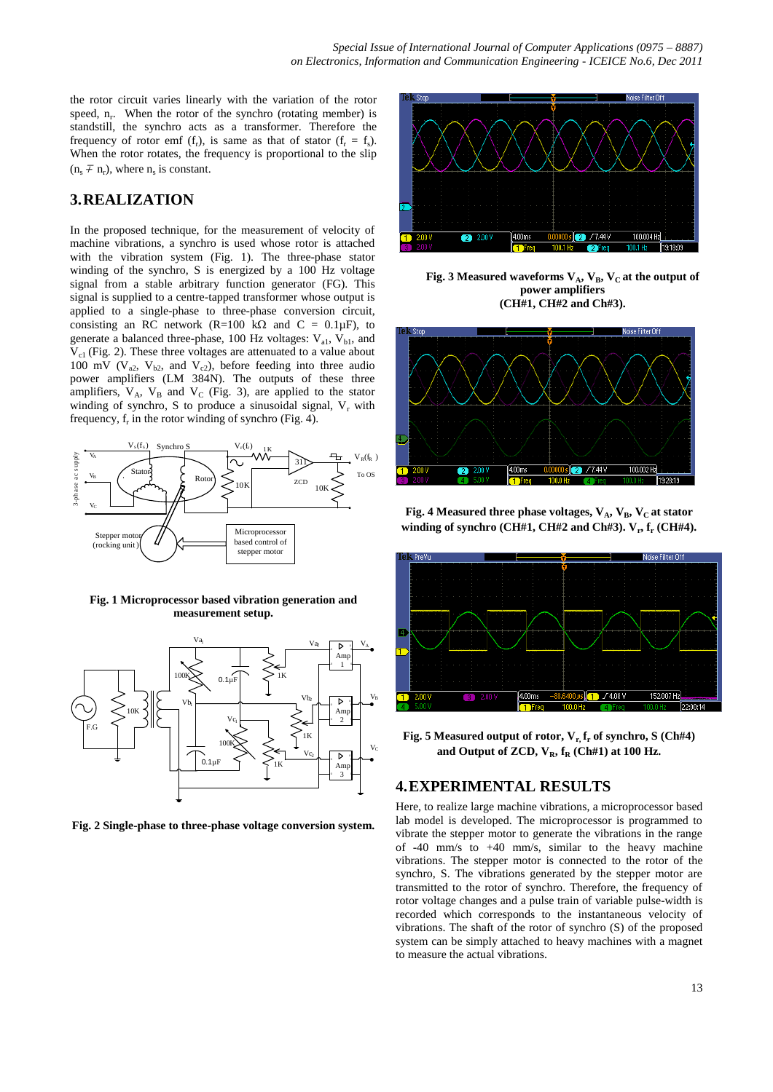the rotor circuit varies linearly with the variation of the rotor speed,  $n_r$ . When the rotor of the synchro (rotating member) is standstill, the synchro acts as a transformer. Therefore the frequency of rotor emf  $(f_r)$ , is same as that of stator  $(f_r = f_s)$ . When the rotor rotates, the frequency is proportional to the slip  $(n_s \nightharpoondown n_r)$ , where  $n_s$  is constant.

# **3.REALIZATION**

In the proposed technique, for the measurement of velocity of machine vibrations, a synchro is used whose rotor is attached with the vibration system (Fig. 1). The three-phase stator winding of the synchro, S is energized by a 100 Hz voltage signal from a stable arbitrary function generator (FG). This signal is supplied to a centre-tapped transformer whose output is applied to a single-phase to three-phase conversion circuit, consisting an RC network (R=100 k $\Omega$  and C = 0.1 $\mu$ F), to generate a balanced three-phase, 100 Hz voltages:  $V_{a1}$ ,  $V_{b1}$ , and  $V_{c1}$  (Fig. 2). These three voltages are attenuated to a value about 100 mV ( $V_{a2}$ ,  $V_{b2}$ , and  $V_{c2}$ ), before feeding into three audio power amplifiers (LM 384N). The outputs of these three amplifiers,  $V_A$ ,  $V_B$  and  $V_C$  (Fig. 3), are applied to the stator winding of synchro, S to produce a sinusoidal signal,  $V_r$  with frequency,  $f_r$  in the rotor winding of synchro (Fig. 4).



**Fig. 1 Microprocessor based vibration generation and measurement setup.**



**Fig. 2 Single-phase to three-phase voltage conversion system.**



**Fig. 3 Measured waveforms**  $V_A$ **,**  $V_B$ **,**  $V_C$  **at the output of power amplifiers (CH#1, CH#2 and Ch#3).**



**Fig. 4 Measured three phase voltages,**  $V_A$ **,**  $V_B$ **,**  $V_C$  **at stator winding of synchro (CH#1, CH#2 and Ch#3). V<sup>r</sup> , f<sup>r</sup> (CH#4).**



**Fig. 5 Measured output of rotor, Vr, f<sup>r</sup> of synchro, S (Ch#4)**  and Output of ZCD,  $V_R$ ,  $f_R$  (Ch#1) at 100 Hz.

# **4.EXPERIMENTAL RESULTS**

Here, to realize large machine vibrations, a microprocessor based lab model is developed. The microprocessor is programmed to vibrate the stepper motor to generate the vibrations in the range of -40 mm/s to +40 mm/s, similar to the heavy machine vibrations. The stepper motor is connected to the rotor of the synchro, S. The vibrations generated by the stepper motor are transmitted to the rotor of synchro. Therefore, the frequency of rotor voltage changes and a pulse train of variable pulse-width is recorded which corresponds to the instantaneous velocity of vibrations. The shaft of the rotor of synchro (S) of the proposed system can be simply attached to heavy machines with a magnet to measure the actual vibrations.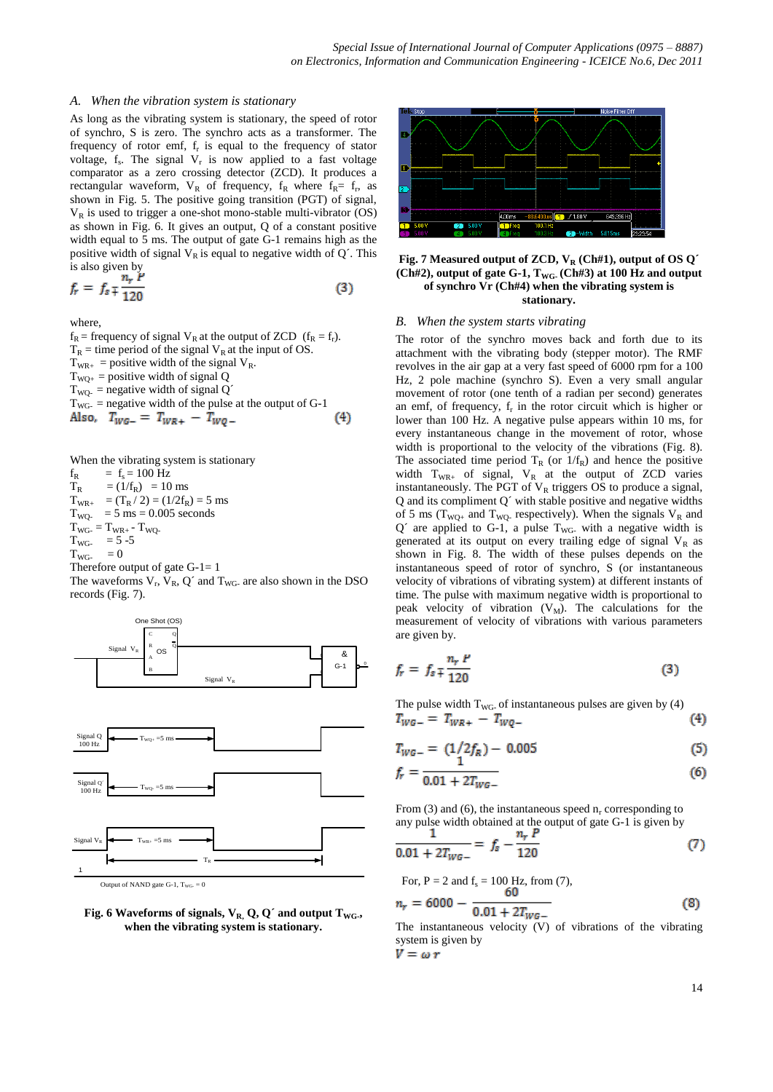#### *A. When the vibration system is stationary*

As long as the vibrating system is stationary, the speed of rotor of synchro, S is zero. The synchro acts as a transformer. The frequency of rotor emf,  $f_r$  is equal to the frequency of stator voltage,  $f_s$ . The signal  $V_r$  is now applied to a fast voltage comparator as a zero crossing detector (ZCD). It produces a rectangular waveform,  $V_R$  of frequency,  $f_R$  where  $f_R = f_r$ , as shown in Fig. 5. The positive going transition (PGT) of signal,  $V_R$  is used to trigger a one-shot mono-stable multi-vibrator (OS) as shown in Fig. 6. It gives an output, Q of a constant positive width equal to 5 ms. The output of gate G-1 remains high as the positive width of signal  $V_R$  is equal to negative width of  $Q'$ . This is also given by

$$
f_r = f_s \frac{n_r P}{120} \tag{3}
$$

where,

 $f_R$  = frequency of signal  $V_R$  at the output of ZCD ( $f_R = f_r$ ).  $T_R$  = time period of the signal  $V_R$  at the input of OS.  $T_{WR_{+}}$  = positive width of the signal  $V_{R}$ .  $T_{\text{WO+}}$  = positive width of signal Q  $T_{\text{WO}}$  = negative width of signal Q<sup> $\prime$ </sup>  $T_{\text{WG}}$  = negative width of the pulse at the output of G-1 Also,  $T_{WG-} = T_{WR+} - T_{WO-}$  $(4)$ 

When the vibrating system is stationary

 $f_R$  =  $f_s = 100$  Hz  $T_R$  = (1/f<sub>R</sub>) = 10 ms  $T_{WR+} = (T_R / 2) = (1/2f_R) = 5$  ms  $T_{\text{WQ}}$  = 5 ms = 0.005 seconds  $T_{WG} = T_{WR+} - T_{WQ}$  $T_{\text{WG}} = 5 - 5$  $T_{WG}$  $= 0$ Therefore output of gate  $G-1=1$ 









#### **Fig. 7 Measured output of ZCD, V<sup>R</sup> (Ch#1), output of OS Q´ (Ch#2), output of gate G-1, TWG- (Ch#3) at 100 Hz and output of synchro Vr (Ch#4) when the vibrating system is stationary.**

#### *B. When the system starts vibrating*

The rotor of the synchro moves back and forth due to its attachment with the vibrating body (stepper motor). The RMF revolves in the air gap at a very fast speed of 6000 rpm for a 100 Hz, 2 pole machine (synchro S). Even a very small angular movement of rotor (one tenth of a radian per second) generates an emf, of frequency,  $f_r$  in the rotor circuit which is higher or lower than 100 Hz. A negative pulse appears within 10 ms, for every instantaneous change in the movement of rotor, whose width is proportional to the velocity of the vibrations (Fig. 8). The associated time period  $T_R$  (or  $1/f_R$ ) and hence the positive width  $T_{WR+}$  of signal,  $V_R$  at the output of ZCD varies instantaneously. The PGT of  $V_R$  triggers OS to produce a signal, Q and its compliment Q´ with stable positive and negative widths of 5 ms ( $T_{WQ+}$  and  $T_{WQ-}$  respectively). When the signals  $V_R$  and  $Q'$  are applied to G-1, a pulse  $T_{WG}$  with a negative width is generated at its output on every trailing edge of signal  $V_R$  as shown in Fig. 8. The width of these pulses depends on the instantaneous speed of rotor of synchro, S (or instantaneous velocity of vibrations of vibrating system) at different instants of time. The pulse with maximum negative width is proportional to peak velocity of vibration  $(V_M)$ . The calculations for the measurement of velocity of vibrations with various parameters are given by.

$$
f_r = f_s \sqrt{\frac{n_r}{120}} \tag{3}
$$

The pulse width T<sub>WG</sub> of instantaneous pulses are given by (4)<br> $T_{WG-} = T_{WR+} - T_{W0-}$  $(4)$ 

$$
T_{WG-} = (1/2f_R) - 0.005
$$
 (5)

$$
f_r = \frac{1}{0.01 + 2T_{WG-}}\tag{6}
$$

From (3) and (6), the instantaneous speed  $n_r$  corresponding to any pulse width obtained at the output of gate G-1 is given by

$$
\frac{1}{0.01 + 2T_{WG-}} = f_s - \frac{n_r r}{120}
$$
 (7)

For, P = 2 and f<sub>s</sub> = 100 Hz, from (7),  
\n
$$
n_r = 6000 - \frac{60}{0.01 + 2T_{WG-}}
$$
\n(8)

The instantaneous velocity (V) of vibrations of the vibrating system is given by<br> $V = \omega r$ 

14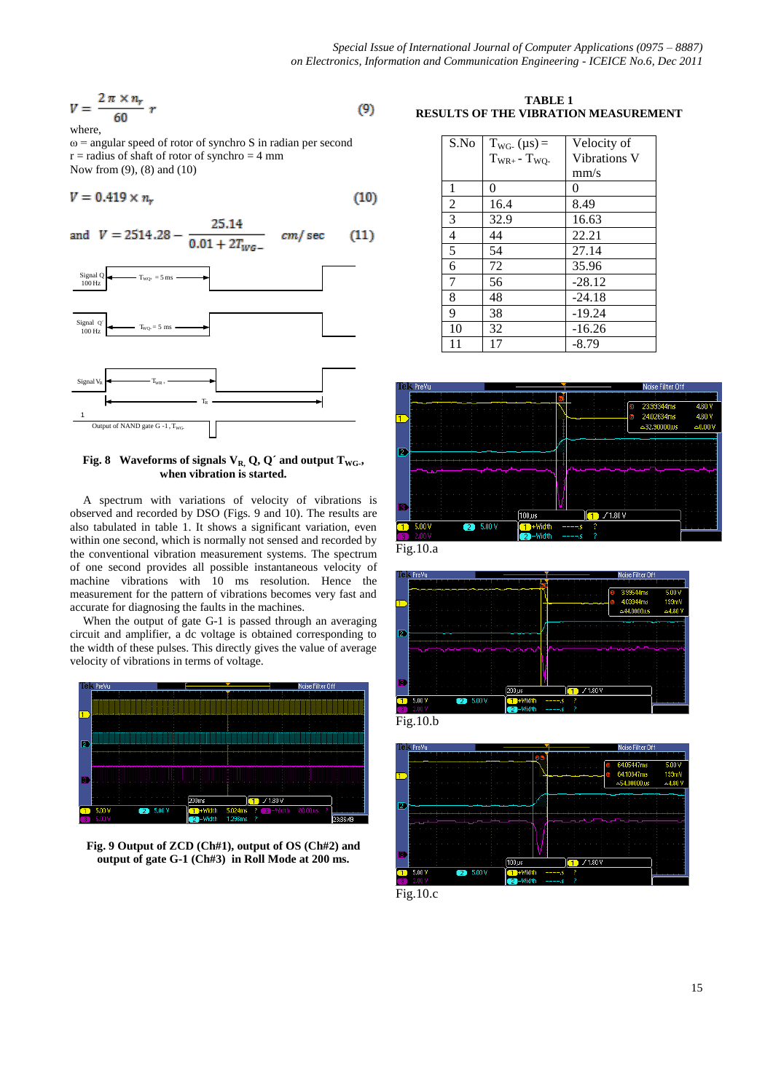$$
V = \frac{2\pi \times n_r}{60} r \tag{9}
$$

where,

 $\omega$  = angular speed of rotor of synchro S in radian per second  $r =$  radius of shaft of rotor of synchro  $= 4$  mm Now from (9), (8) and (10)

$$
V = 0.419 \times n_r \tag{10}
$$

and 
$$
V = 2514.28 - \frac{25.14}{0.01 + 2T_{WG-}}
$$
 cm/sec (11)



**Fig. 8** Waveforms of signals  $V_{R}$ , Q, Q' and output  $T_{WG}$ . **when vibration is started.**

A spectrum with variations of velocity of vibrations is observed and recorded by DSO (Figs. 9 and 10). The results are also tabulated in table 1. It shows a significant variation, even within one second, which is normally not sensed and recorded by the conventional vibration measurement systems. The spectrum of one second provides all possible instantaneous velocity of machine vibrations with 10 ms resolution. Hence the measurement for the pattern of vibrations becomes very fast and accurate for diagnosing the faults in the machines.

When the output of gate G-1 is passed through an averaging circuit and amplifier, a dc voltage is obtained corresponding to the width of these pulses. This directly gives the value of average velocity of vibrations in terms of voltage.



**Fig. 9 Output of ZCD (Ch#1), output of OS (Ch#2) and output of gate G-1 (Ch#3) in Roll Mode at 200 ms.**

## **TABLE 1 RESULTS OF THE VIBRATION MEASUREMENT**

| S.No           | $T_{WG}$ (µs) =        | Velocity of  |
|----------------|------------------------|--------------|
|                | $T_{WR+}$ - $T_{WO}$ . | Vibrations V |
|                |                        | mm/s         |
| 1              | 0                      | 0            |
| $\overline{2}$ | 16.4                   | 8.49         |
| $\overline{3}$ | 32.9                   | 16.63        |
| $\overline{4}$ | 44                     | 22.21        |
| $\overline{5}$ | 54                     | 27.14        |
| 6              | 72                     | 35.96        |
| 7              | 56                     | $-28.12$     |
| 8              | 48                     | $-24.18$     |
| 9              | 38                     | $-19.24$     |
| 10             | 32                     | $-16.26$     |
| 11             | 17                     | $-8.79$      |



Fig.10.a



Fig.10.b



Fig.10.c